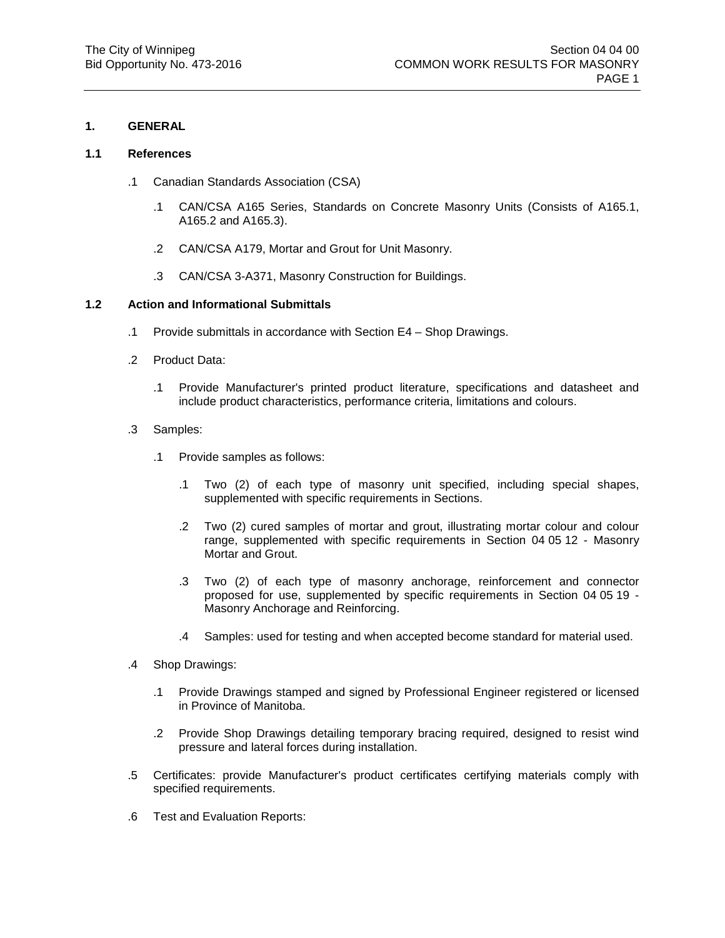### **1. GENERAL**

### **1.1 References**

- .1 Canadian Standards Association (CSA)
	- .1 CAN/CSA A165 Series, Standards on Concrete Masonry Units (Consists of A165.1, A165.2 and A165.3).
	- .2 CAN/CSA A179, Mortar and Grout for Unit Masonry.
	- .3 CAN/CSA 3-A371, Masonry Construction for Buildings.

### **1.2 Action and Informational Submittals**

- .1 Provide submittals in accordance with Section E4 Shop Drawings.
- .2 Product Data:
	- .1 Provide Manufacturer's printed product literature, specifications and datasheet and include product characteristics, performance criteria, limitations and colours.
- .3 Samples:
	- .1 Provide samples as follows:
		- .1 Two (2) of each type of masonry unit specified, including special shapes, supplemented with specific requirements in Sections.
		- .2 Two (2) cured samples of mortar and grout, illustrating mortar colour and colour range, supplemented with specific requirements in Section 04 05 12 - Masonry Mortar and Grout.
		- .3 Two (2) of each type of masonry anchorage, reinforcement and connector proposed for use, supplemented by specific requirements in Section 04 05 19 - Masonry Anchorage and Reinforcing.
		- .4 Samples: used for testing and when accepted become standard for material used.
- .4 Shop Drawings:
	- .1 Provide Drawings stamped and signed by Professional Engineer registered or licensed in Province of Manitoba.
	- .2 Provide Shop Drawings detailing temporary bracing required, designed to resist wind pressure and lateral forces during installation.
- .5 Certificates: provide Manufacturer's product certificates certifying materials comply with specified requirements.
- .6 Test and Evaluation Reports: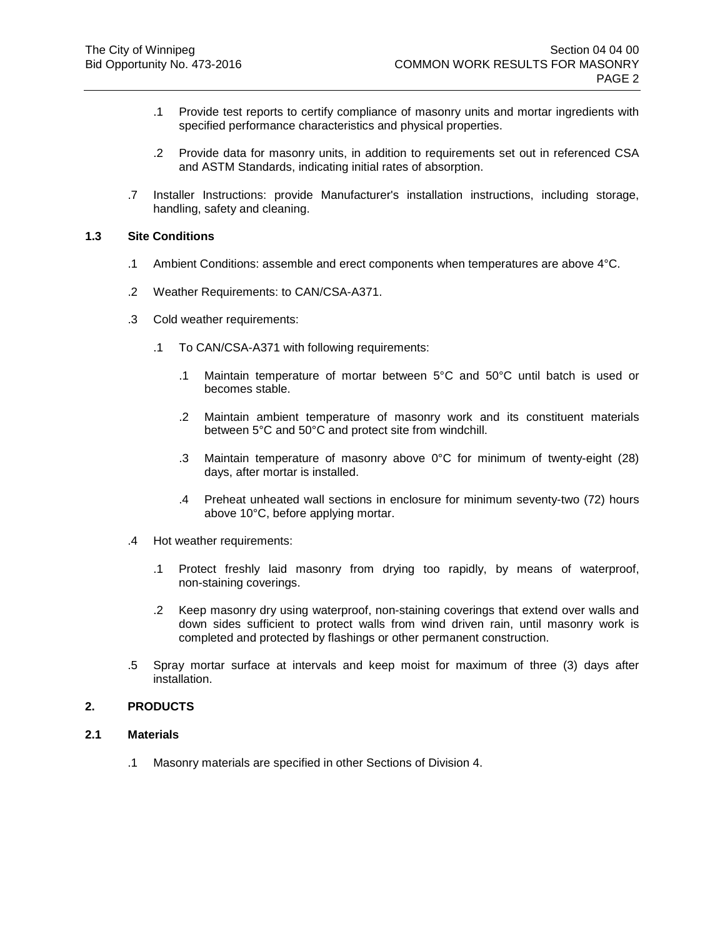- .1 Provide test reports to certify compliance of masonry units and mortar ingredients with specified performance characteristics and physical properties.
- .2 Provide data for masonry units, in addition to requirements set out in referenced CSA and ASTM Standards, indicating initial rates of absorption.
- .7 Installer Instructions: provide Manufacturer's installation instructions, including storage, handling, safety and cleaning.

## <span id="page-1-0"></span>**1.3 Site Conditions**

- .1 Ambient Conditions: assemble and erect components when temperatures are above 4°C.
- .2 Weather Requirements: to CAN/CSA-A371.
- .3 Cold weather requirements:
	- .1 To CAN/CSA-A371 with following requirements:
		- .1 Maintain temperature of mortar between 5°C and 50°C until batch is used or becomes stable.
		- .2 Maintain ambient temperature of masonry work and its constituent materials between 5°C and 50°C and protect site from windchill.
		- .3 Maintain temperature of masonry above 0°C for minimum of twenty-eight (28) days, after mortar is installed.
		- .4 Preheat unheated wall sections in enclosure for minimum seventy-two (72) hours above 10°C, before applying mortar.
- .4 Hot weather requirements:
	- .1 Protect freshly laid masonry from drying too rapidly, by means of waterproof, non-staining coverings.
	- .2 Keep masonry dry using waterproof, non-staining coverings that extend over walls and down sides sufficient to protect walls from wind driven rain, until masonry work is completed and protected by flashings or other permanent construction.
- .5 Spray mortar surface at intervals and keep moist for maximum of three (3) days after installation.

### **2. PRODUCTS**

### **2.1 Materials**

.1 Masonry materials are specified in other Sections of Division 4.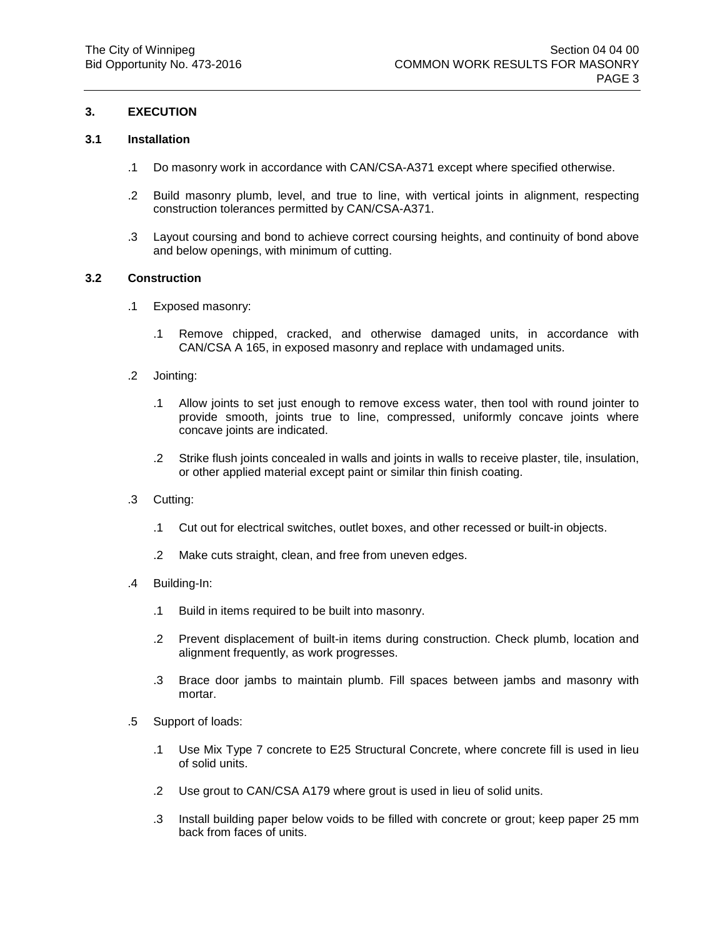## **3. EXECUTION**

### **3.1 Installation**

- .1 Do masonry work in accordance with CAN/CSA-A371 except where specified otherwise.
- .2 Build masonry plumb, level, and true to line, with vertical joints in alignment, respecting construction tolerances permitted by CAN/CSA-A371.
- .3 Layout coursing and bond to achieve correct coursing heights, and continuity of bond above and below openings, with minimum of cutting.

### **3.2 Construction**

- .1 Exposed masonry:
	- .1 Remove chipped, cracked, and otherwise damaged units, in accordance with CAN/CSA A 165, in exposed masonry and replace with undamaged units.
- .2 Jointing:
	- .1 Allow joints to set just enough to remove excess water, then tool with round jointer to provide smooth, joints true to line, compressed, uniformly concave joints where concave joints are indicated.
	- .2 Strike flush joints concealed in walls and joints in walls to receive plaster, tile, insulation, or other applied material except paint or similar thin finish coating.
- .3 Cutting:
	- .1 Cut out for electrical switches, outlet boxes, and other recessed or built-in objects.
	- .2 Make cuts straight, clean, and free from uneven edges.
- .4 Building-In:
	- .1 Build in items required to be built into masonry.
	- .2 Prevent displacement of built-in items during construction. Check plumb, location and alignment frequently, as work progresses.
	- .3 Brace door jambs to maintain plumb. Fill spaces between jambs and masonry with mortar.
- .5 Support of loads:
	- .1 Use Mix Type 7 concrete to E25 Structural Concrete, where concrete fill is used in lieu of solid units.
	- .2 Use grout to CAN/CSA A179 where grout is used in lieu of solid units.
	- .3 Install building paper below voids to be filled with concrete or grout; keep paper 25 mm back from faces of units.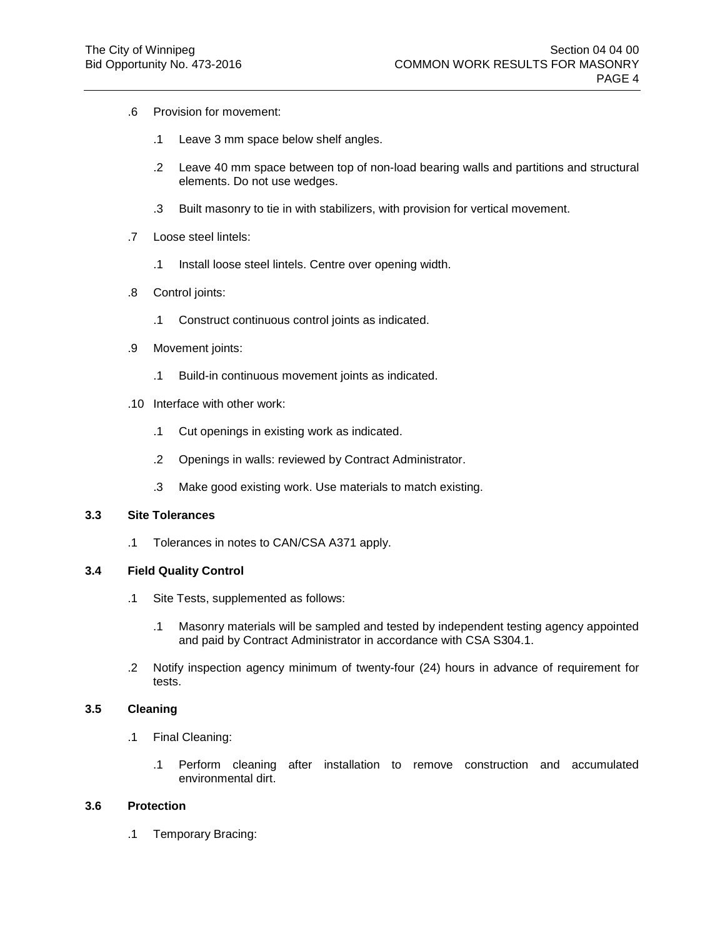- .6 Provision for movement:
	- .1 Leave 3 mm space below shelf angles.
	- .2 Leave 40 mm space between top of non-load bearing walls and partitions and structural elements. Do not use wedges.
	- .3 Built masonry to tie in with stabilizers, with provision for vertical movement.
- .7 Loose steel lintels:
	- .1 Install loose steel lintels. Centre over opening width.
- .8 Control joints:
	- .1 Construct continuous control joints as indicated.
- .9 Movement joints:
	- .1 Build-in continuous movement joints as indicated.
- .10 Interface with other work:
	- .1 Cut openings in existing work as indicated.
	- .2 Openings in walls: reviewed by Contract Administrator.
	- .3 Make good existing work. Use materials to match existing.

## **3.3 Site Tolerances**

.1 Tolerances in notes to CAN/CSA A371 apply.

## **3.4 Field Quality Control**

- .1 Site Tests, supplemented as follows:
	- .1 Masonry materials will be sampled and tested by independent testing agency appointed and paid by Contract Administrator in accordance with CSA S304.1.
- .2 Notify inspection agency minimum of twenty-four (24) hours in advance of requirement for tests.

## **3.5 Cleaning**

- .1 Final Cleaning:
	- .1 Perform cleaning after installation to remove construction and accumulated environmental dirt.

## **3.6 Protection**

.1 Temporary Bracing: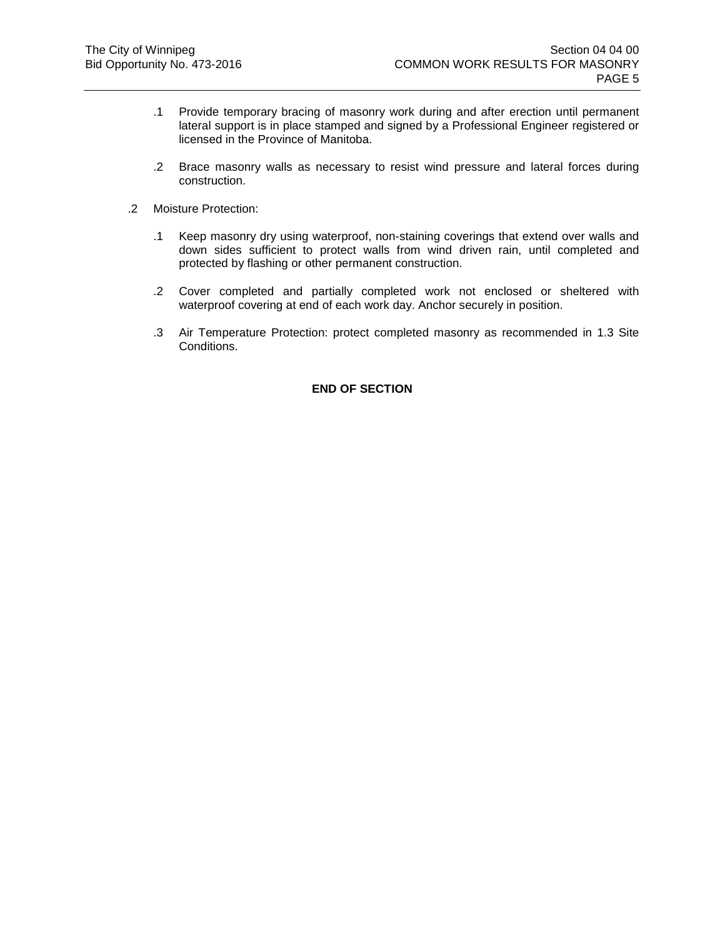- .1 Provide temporary bracing of masonry work during and after erection until permanent lateral support is in place stamped and signed by a Professional Engineer registered or licensed in the Province of Manitoba.
- .2 Brace masonry walls as necessary to resist wind pressure and lateral forces during construction.
- .2 Moisture Protection:
	- .1 Keep masonry dry using waterproof, non-staining coverings that extend over walls and down sides sufficient to protect walls from wind driven rain, until completed and protected by flashing or other permanent construction.
	- .2 Cover completed and partially completed work not enclosed or sheltered with waterproof covering at end of each work day. Anchor securely in position.
	- .3 Air Temperature Protection: protect completed masonry as recommended in [1.3](#page-1-0) [Site](#page-1-0)  [Conditions.](#page-1-0)

## **END OF SECTION**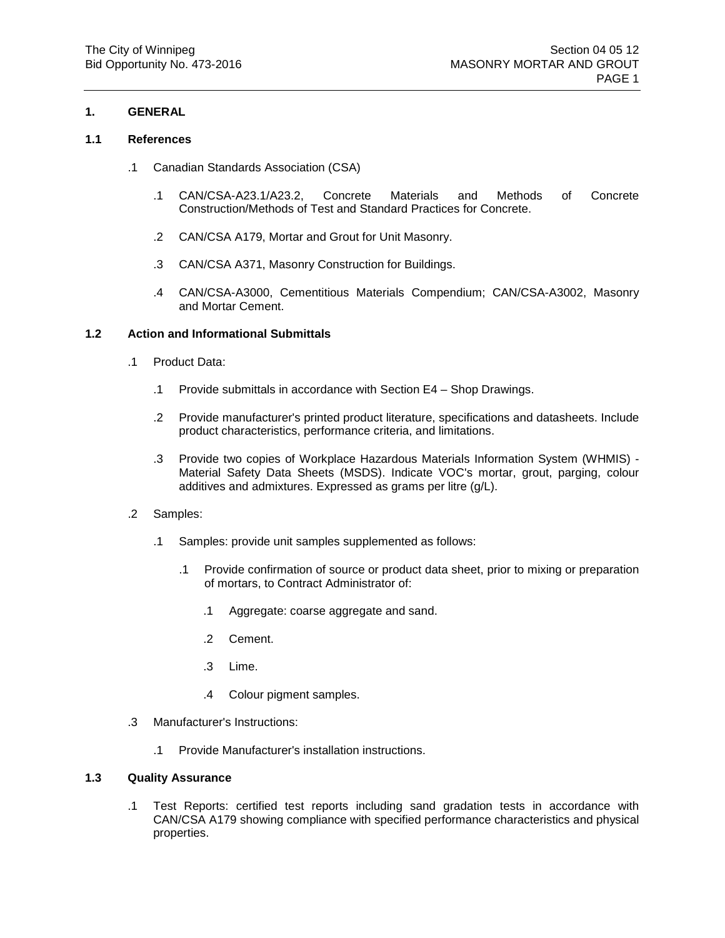## **1. GENERAL**

## **1.1 References**

- .1 Canadian Standards Association (CSA)
	- .1 CAN/CSA-A23.1/A23.2, Concrete Materials and Methods of Concrete Construction/Methods of Test and Standard Practices for Concrete.
	- .2 CAN/CSA A179, Mortar and Grout for Unit Masonry.
	- .3 CAN/CSA A371, Masonry Construction for Buildings.
	- .4 CAN/CSA-A3000, Cementitious Materials Compendium; CAN/CSA-A3002, Masonry and Mortar Cement.

## **1.2 Action and Informational Submittals**

- .1 Product Data:
	- .1 Provide submittals in accordance with Section E4 Shop Drawings.
	- .2 Provide manufacturer's printed product literature, specifications and datasheets. Include product characteristics, performance criteria, and limitations.
	- .3 Provide two copies of Workplace Hazardous Materials Information System (WHMIS) Material Safety Data Sheets (MSDS). Indicate VOC's mortar, grout, parging, colour additives and admixtures. Expressed as grams per litre (g/L).
- .2 Samples:
	- .1 Samples: provide unit samples supplemented as follows:
		- .1 Provide confirmation of source or product data sheet, prior to mixing or preparation of mortars, to Contract Administrator of:
			- .1 Aggregate: coarse aggregate and sand.
			- .2 Cement.
			- .3 Lime.
			- .4 Colour pigment samples.
- .3 Manufacturer's Instructions:
	- .1 Provide Manufacturer's installation instructions.

## **1.3 Quality Assurance**

.1 Test Reports: certified test reports including sand gradation tests in accordance with CAN/CSA A179 showing compliance with specified performance characteristics and physical properties.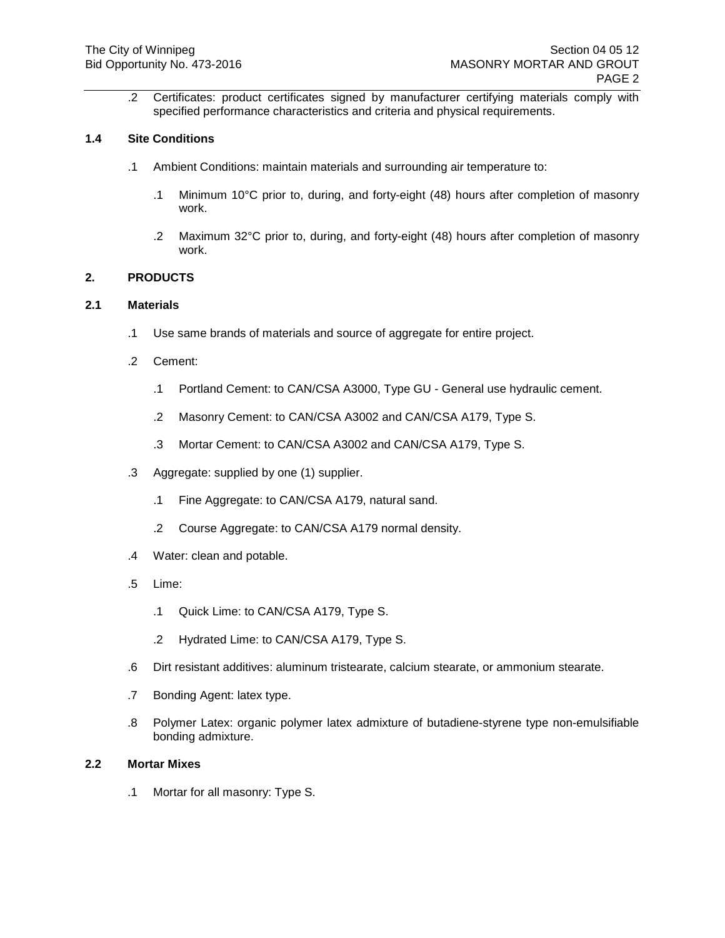.2 Certificates: product certificates signed by manufacturer certifying materials comply with specified performance characteristics and criteria and physical requirements.

## **1.4 Site Conditions**

- .1 Ambient Conditions: maintain materials and surrounding air temperature to:
	- .1 Minimum 10°C prior to, during, and forty-eight (48) hours after completion of masonry work.
	- .2 Maximum 32°C prior to, during, and forty-eight (48) hours after completion of masonry work.

## **2. PRODUCTS**

## **2.1 Materials**

- .1 Use same brands of materials and source of aggregate for entire project.
- .2 Cement:
	- .1 Portland Cement: to CAN/CSA A3000, Type GU General use hydraulic cement.
	- .2 Masonry Cement: to CAN/CSA A3002 and CAN/CSA A179, Type S.
	- .3 Mortar Cement: to CAN/CSA A3002 and CAN/CSA A179, Type S.
- .3 Aggregate: supplied by one (1) supplier.
	- .1 Fine Aggregate: to CAN/CSA A179, natural sand.
	- .2 Course Aggregate: to CAN/CSA A179 normal density.
- .4 Water: clean and potable.
- .5 Lime:
	- .1 Quick Lime: to CAN/CSA A179, Type S.
	- .2 Hydrated Lime: to CAN/CSA A179, Type S.
- .6 Dirt resistant additives: aluminum tristearate, calcium stearate, or ammonium stearate.
- .7 Bonding Agent: latex type.
- .8 Polymer Latex: organic polymer latex admixture of butadiene-styrene type non-emulsifiable bonding admixture.

## **2.2 Mortar Mixes**

.1 Mortar for all masonry: Type S.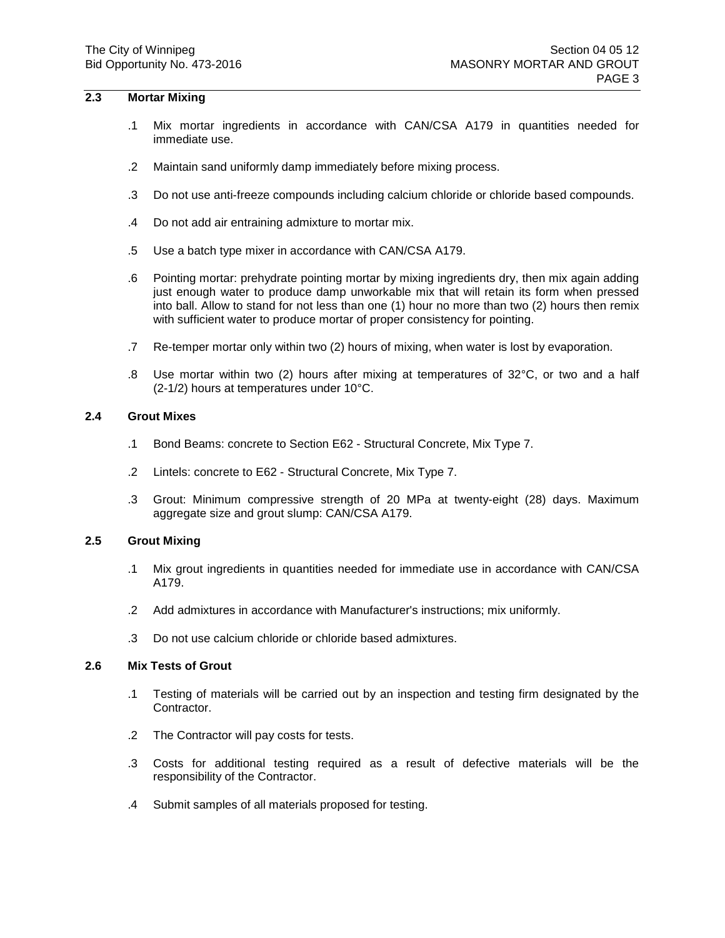## **2.3 Mortar Mixing**

- .1 Mix mortar ingredients in accordance with CAN/CSA A179 in quantities needed for immediate use.
- .2 Maintain sand uniformly damp immediately before mixing process.
- .3 Do not use anti-freeze compounds including calcium chloride or chloride based compounds.
- .4 Do not add air entraining admixture to mortar mix.
- .5 Use a batch type mixer in accordance with CAN/CSA A179.
- .6 Pointing mortar: prehydrate pointing mortar by mixing ingredients dry, then mix again adding just enough water to produce damp unworkable mix that will retain its form when pressed into ball. Allow to stand for not less than one (1) hour no more than two (2) hours then remix with sufficient water to produce mortar of proper consistency for pointing.
- .7 Re-temper mortar only within two (2) hours of mixing, when water is lost by evaporation.
- .8 Use mortar within two (2) hours after mixing at temperatures of 32°C, or two and a half (2-1/2) hours at temperatures under 10°C.

### **2.4 Grout Mixes**

- .1 Bond Beams: concrete to Section E62 Structural Concrete, Mix Type 7.
- .2 Lintels: concrete to E62 Structural Concrete, Mix Type 7.
- .3 Grout: Minimum compressive strength of 20 MPa at twenty-eight (28) days. Maximum aggregate size and grout slump: CAN/CSA A179.

## **2.5 Grout Mixing**

- .1 Mix grout ingredients in quantities needed for immediate use in accordance with CAN/CSA A179.
- .2 Add admixtures in accordance with Manufacturer's instructions; mix uniformly.
- .3 Do not use calcium chloride or chloride based admixtures.

### **2.6 Mix Tests of Grout**

- .1 Testing of materials will be carried out by an inspection and testing firm designated by the Contractor.
- .2 The Contractor will pay costs for tests.
- .3 Costs for additional testing required as a result of defective materials will be the responsibility of the Contractor.
- .4 Submit samples of all materials proposed for testing.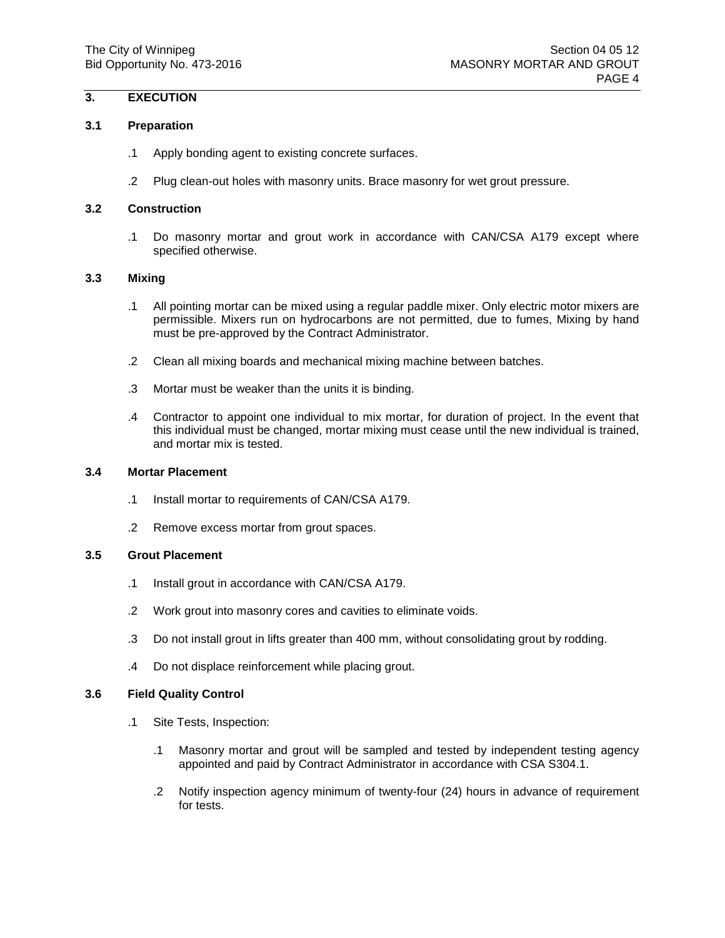# **3. EXECUTION**

## **3.1 Preparation**

- .1 Apply bonding agent to existing concrete surfaces.
- .2 Plug clean-out holes with masonry units. Brace masonry for wet grout pressure.

## **3.2 Construction**

.1 Do masonry mortar and grout work in accordance with CAN/CSA A179 except where specified otherwise.

## **3.3 Mixing**

- .1 All pointing mortar can be mixed using a regular paddle mixer. Only electric motor mixers are permissible. Mixers run on hydrocarbons are not permitted, due to fumes, Mixing by hand must be pre-approved by the Contract Administrator.
- .2 Clean all mixing boards and mechanical mixing machine between batches.
- .3 Mortar must be weaker than the units it is binding.
- .4 Contractor to appoint one individual to mix mortar, for duration of project. In the event that this individual must be changed, mortar mixing must cease until the new individual is trained, and mortar mix is tested.

## **3.4 Mortar Placement**

- .1 Install mortar to requirements of CAN/CSA A179.
- .2 Remove excess mortar from grout spaces.

## **3.5 Grout Placement**

- .1 Install grout in accordance with CAN/CSA A179.
- .2 Work grout into masonry cores and cavities to eliminate voids.
- .3 Do not install grout in lifts greater than 400 mm, without consolidating grout by rodding.
- .4 Do not displace reinforcement while placing grout.

## **3.6 Field Quality Control**

- .1 Site Tests, Inspection:
	- .1 Masonry mortar and grout will be sampled and tested by independent testing agency appointed and paid by Contract Administrator in accordance with CSA S304.1.
	- .2 Notify inspection agency minimum of twenty-four (24) hours in advance of requirement for tests.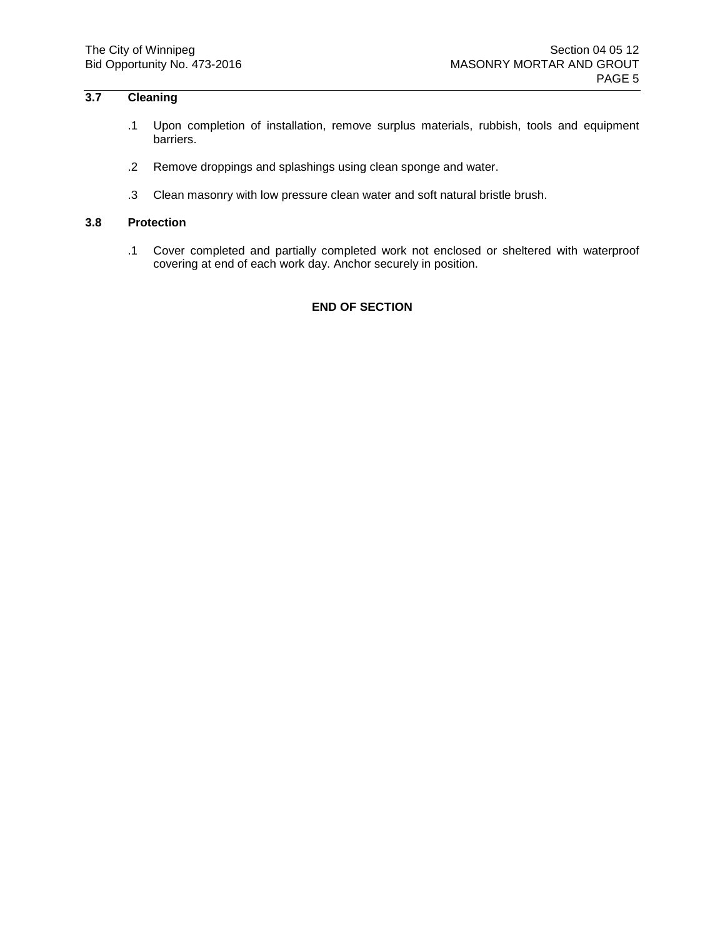# **3.7 Cleaning**

- .1 Upon completion of installation, remove surplus materials, rubbish, tools and equipment barriers.
- .2 Remove droppings and splashings using clean sponge and water.
- .3 Clean masonry with low pressure clean water and soft natural bristle brush.

### **3.8 Protection**

.1 Cover completed and partially completed work not enclosed or sheltered with waterproof covering at end of each work day. Anchor securely in position.

## **END OF SECTION**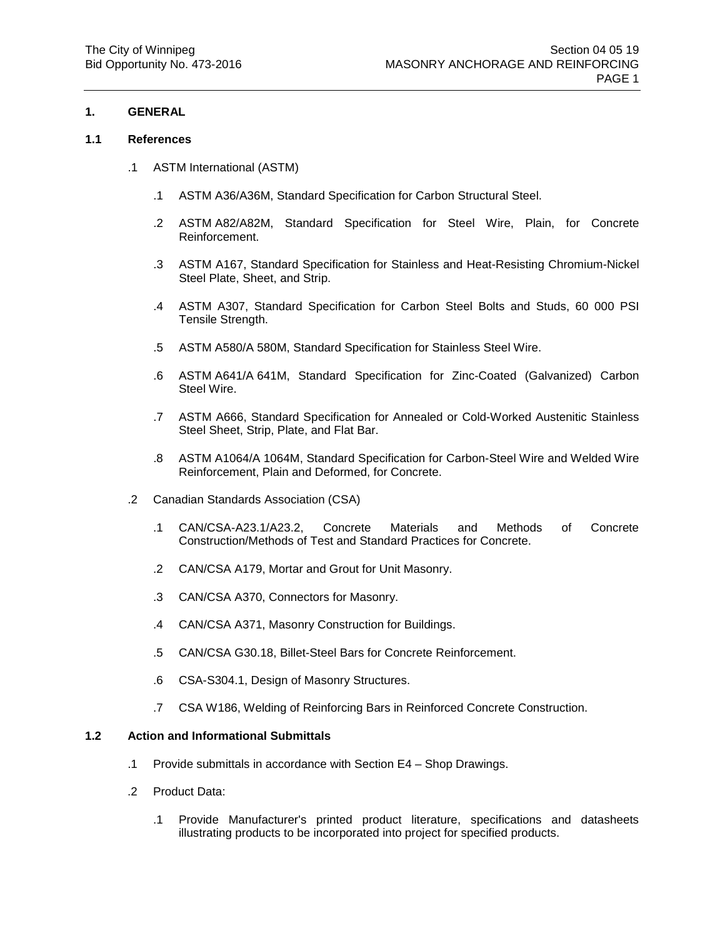## **1. GENERAL**

### **1.1 References**

- .1 ASTM International (ASTM)
	- .1 ASTM A36/A36M, Standard Specification for Carbon Structural Steel.
	- .2 ASTM A82/A82M, Standard Specification for Steel Wire, Plain, for Concrete Reinforcement.
	- .3 ASTM A167, Standard Specification for Stainless and Heat-Resisting Chromium-Nickel Steel Plate, Sheet, and Strip.
	- .4 ASTM A307, Standard Specification for Carbon Steel Bolts and Studs, 60 000 PSI Tensile Strength.
	- .5 ASTM A580/A 580M, Standard Specification for Stainless Steel Wire.
	- .6 ASTM A641/A 641M, Standard Specification for Zinc-Coated (Galvanized) Carbon Steel Wire.
	- .7 ASTM A666, Standard Specification for Annealed or Cold-Worked Austenitic Stainless Steel Sheet, Strip, Plate, and Flat Bar.
	- .8 ASTM A1064/A 1064M, Standard Specification for Carbon-Steel Wire and Welded Wire Reinforcement, Plain and Deformed, for Concrete.
- .2 Canadian Standards Association (CSA)
	- .1 CAN/CSA-A23.1/A23.2, Concrete Materials and Methods of Concrete Construction/Methods of Test and Standard Practices for Concrete.
	- .2 CAN/CSA A179, Mortar and Grout for Unit Masonry.
	- .3 CAN/CSA A370, Connectors for Masonry.
	- .4 CAN/CSA A371, Masonry Construction for Buildings.
	- .5 CAN/CSA G30.18, Billet-Steel Bars for Concrete Reinforcement.
	- .6 CSA-S304.1, Design of Masonry Structures.
	- .7 CSA W186, Welding of Reinforcing Bars in Reinforced Concrete Construction.

## **1.2 Action and Informational Submittals**

- .1 Provide submittals in accordance with Section E4 Shop Drawings.
- .2 Product Data:
	- .1 Provide Manufacturer's printed product literature, specifications and datasheets illustrating products to be incorporated into project for specified products.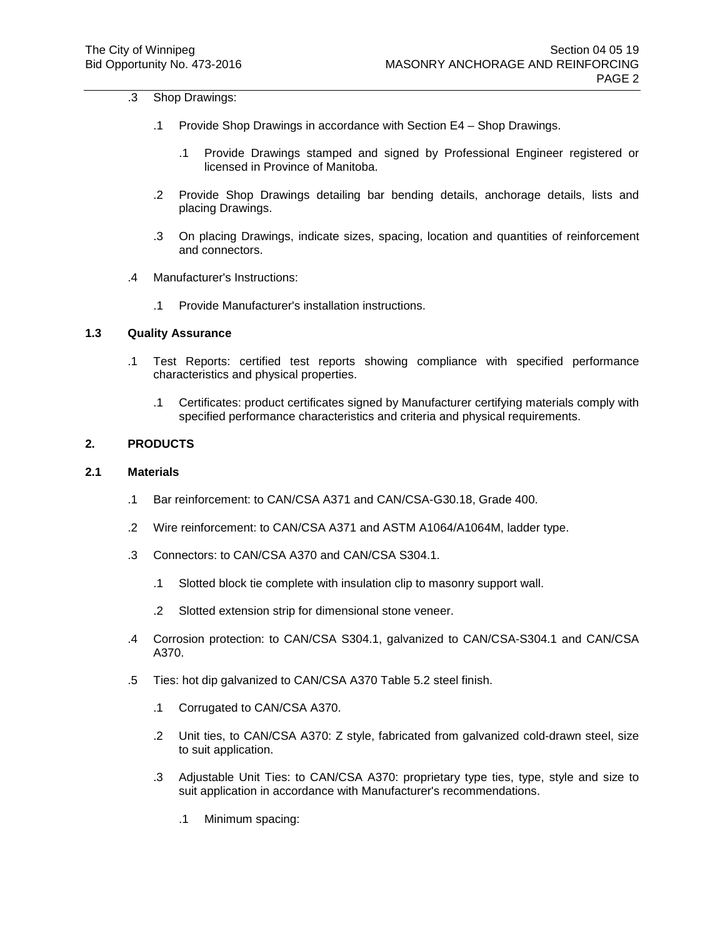## .3 Shop Drawings:

- .1 Provide Shop Drawings in accordance with Section E4 Shop Drawings.
	- .1 Provide Drawings stamped and signed by Professional Engineer registered or licensed in Province of Manitoba.
- .2 Provide Shop Drawings detailing bar bending details, anchorage details, lists and placing Drawings.
- .3 On placing Drawings, indicate sizes, spacing, location and quantities of reinforcement and connectors.
- .4 Manufacturer's Instructions:
	- .1 Provide Manufacturer's installation instructions.

## **1.3 Quality Assurance**

- .1 Test Reports: certified test reports showing compliance with specified performance characteristics and physical properties.
	- .1 Certificates: product certificates signed by Manufacturer certifying materials comply with specified performance characteristics and criteria and physical requirements.

## **2. PRODUCTS**

#### **2.1 Materials**

- .1 Bar reinforcement: to CAN/CSA A371 and CAN/CSA-G30.18, Grade 400.
- .2 Wire reinforcement: to CAN/CSA A371 and ASTM A1064/A1064M, ladder type.
- .3 Connectors: to CAN/CSA A370 and CAN/CSA S304.1.
	- .1 Slotted block tie complete with insulation clip to masonry support wall.
	- .2 Slotted extension strip for dimensional stone veneer.
- .4 Corrosion protection: to CAN/CSA S304.1, galvanized to CAN/CSA-S304.1 and CAN/CSA A370.
- .5 Ties: hot dip galvanized to CAN/CSA A370 Table 5.2 steel finish.
	- .1 Corrugated to CAN/CSA A370.
	- .2 Unit ties, to CAN/CSA A370: Z style, fabricated from galvanized cold-drawn steel, size to suit application.
	- .3 Adjustable Unit Ties: to CAN/CSA A370: proprietary type ties, type, style and size to suit application in accordance with Manufacturer's recommendations.
		- .1 Minimum spacing: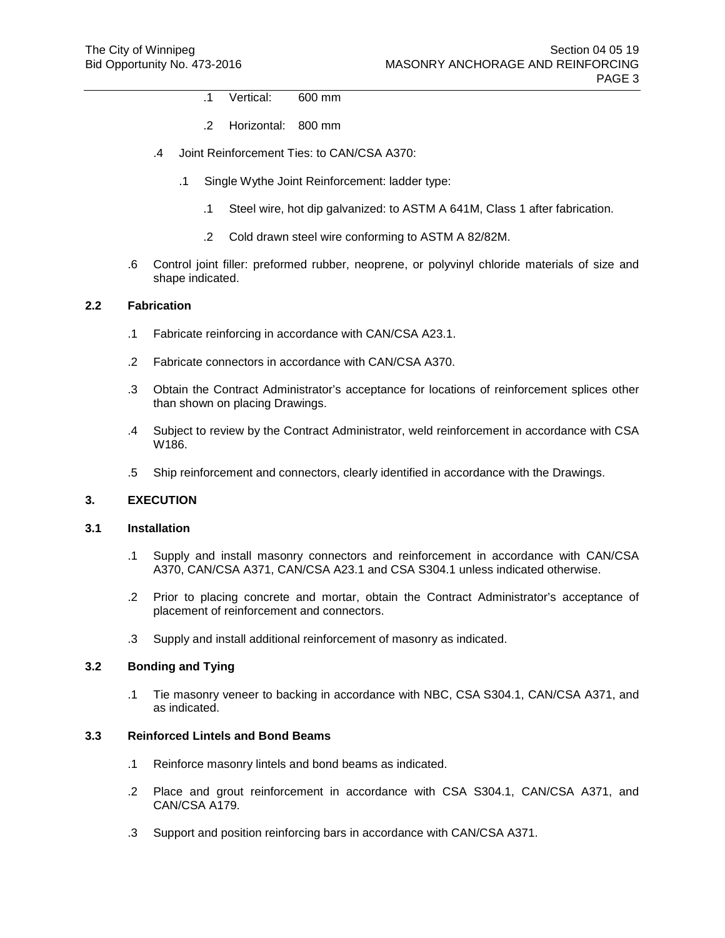- .1 Vertical: 600 mm
- .2 Horizontal: 800 mm
- .4 Joint Reinforcement Ties: to CAN/CSA A370:
	- .1 Single Wythe Joint Reinforcement: ladder type:
		- .1 Steel wire, hot dip galvanized: to ASTM A 641M, Class 1 after fabrication.
		- .2 Cold drawn steel wire conforming to ASTM A 82/82M.
- .6 Control joint filler: preformed rubber, neoprene, or polyvinyl chloride materials of size and shape indicated.

## **2.2 Fabrication**

- .1 Fabricate reinforcing in accordance with CAN/CSA A23.1.
- .2 Fabricate connectors in accordance with CAN/CSA A370.
- .3 Obtain the Contract Administrator's acceptance for locations of reinforcement splices other than shown on placing Drawings.
- .4 Subject to review by the Contract Administrator, weld reinforcement in accordance with CSA W186.
- .5 Ship reinforcement and connectors, clearly identified in accordance with the Drawings.

## **3. EXECUTION**

## **3.1 Installation**

- .1 Supply and install masonry connectors and reinforcement in accordance with CAN/CSA A370, CAN/CSA A371, CAN/CSA A23.1 and CSA S304.1 unless indicated otherwise.
- .2 Prior to placing concrete and mortar, obtain the Contract Administrator's acceptance of placement of reinforcement and connectors.
- .3 Supply and install additional reinforcement of masonry as indicated.

### **3.2 Bonding and Tying**

.1 Tie masonry veneer to backing in accordance with NBC, CSA S304.1, CAN/CSA A371, and as indicated.

## **3.3 Reinforced Lintels and Bond Beams**

- .1 Reinforce masonry lintels and bond beams as indicated.
- .2 Place and grout reinforcement in accordance with CSA S304.1, CAN/CSA A371, and CAN/CSA A179.
- .3 Support and position reinforcing bars in accordance with CAN/CSA A371.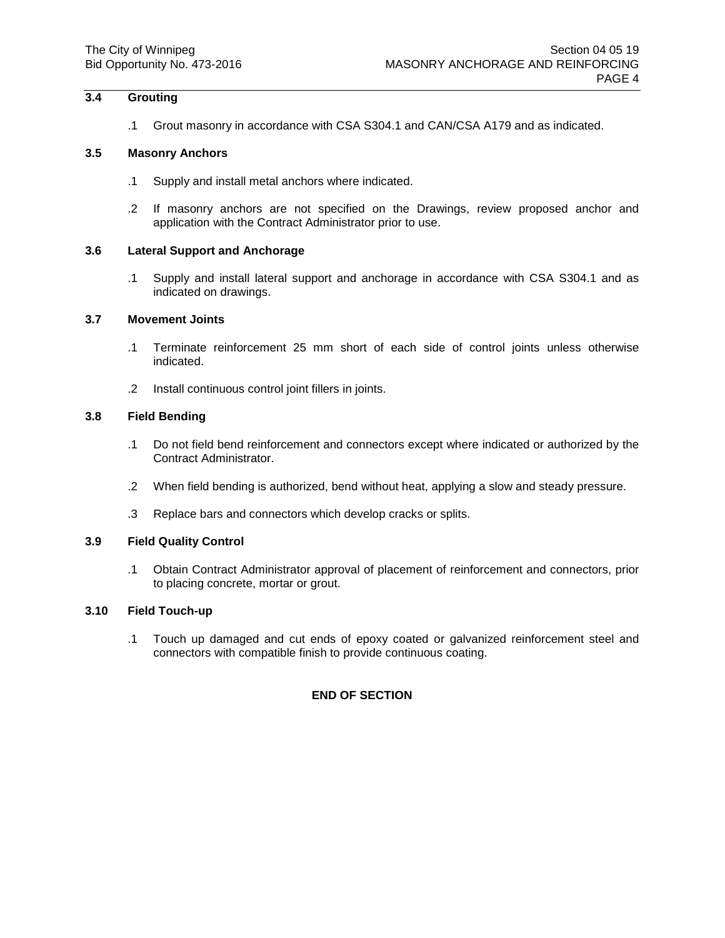## **3.4 Grouting**

.1 Grout masonry in accordance with CSA S304.1 and CAN/CSA A179 and as indicated.

### **3.5 Masonry Anchors**

- .1 Supply and install metal anchors where indicated.
- .2 If masonry anchors are not specified on the Drawings, review proposed anchor and application with the Contract Administrator prior to use.

### **3.6 Lateral Support and Anchorage**

.1 Supply and install lateral support and anchorage in accordance with CSA S304.1 and as indicated on drawings.

## **3.7 Movement Joints**

- .1 Terminate reinforcement 25 mm short of each side of control joints unless otherwise indicated.
- .2 Install continuous control joint fillers in joints.

## **3.8 Field Bending**

- .1 Do not field bend reinforcement and connectors except where indicated or authorized by the Contract Administrator.
- .2 When field bending is authorized, bend without heat, applying a slow and steady pressure.
- .3 Replace bars and connectors which develop cracks or splits.

## **3.9 Field Quality Control**

.1 Obtain Contract Administrator approval of placement of reinforcement and connectors, prior to placing concrete, mortar or grout.

## **3.10 Field Touch-up**

.1 Touch up damaged and cut ends of epoxy coated or galvanized reinforcement steel and connectors with compatible finish to provide continuous coating.

## **END OF SECTION**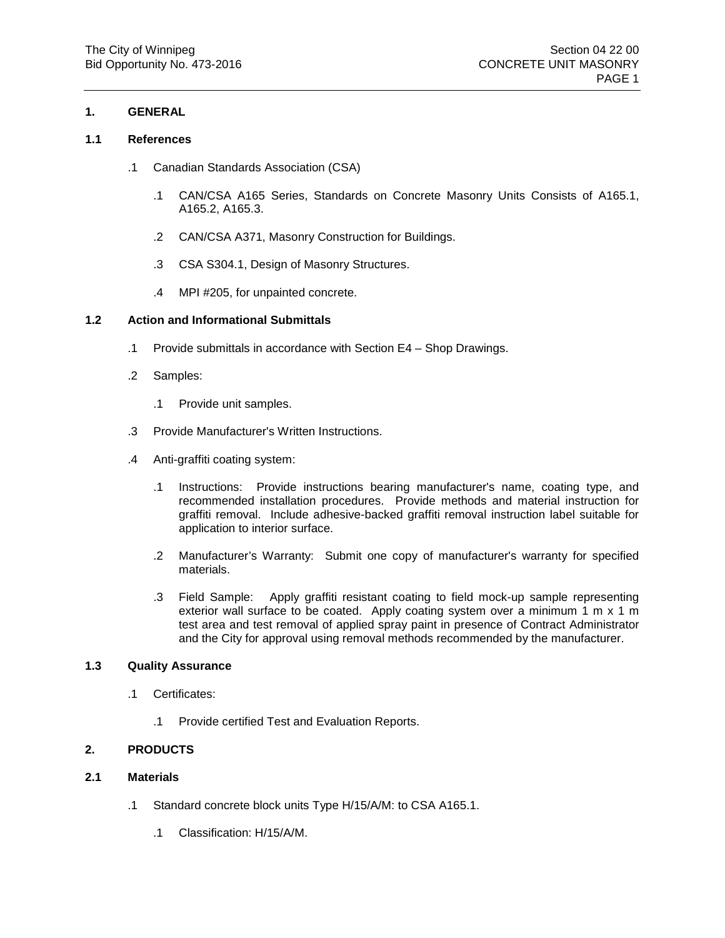## **1. GENERAL**

## **1.1 References**

- .1 Canadian Standards Association (CSA)
	- .1 CAN/CSA A165 Series, Standards on Concrete Masonry Units Consists of A165.1, A165.2, A165.3.
	- .2 CAN/CSA A371, Masonry Construction for Buildings.
	- .3 CSA S304.1, Design of Masonry Structures.
	- .4 MPI #205, for unpainted concrete.

## **1.2 Action and Informational Submittals**

- .1 Provide submittals in accordance with Section E4 Shop Drawings.
- .2 Samples:
	- .1 Provide unit samples.
- .3 Provide Manufacturer's Written Instructions.
- .4 Anti-graffiti coating system:
	- .1 Instructions: Provide instructions bearing manufacturer's name, coating type, and recommended installation procedures. Provide methods and material instruction for graffiti removal. Include adhesive-backed graffiti removal instruction label suitable for application to interior surface.
	- .2 Manufacturer's Warranty: Submit one copy of manufacturer's warranty for specified materials.
	- .3 Field Sample: Apply graffiti resistant coating to field mock-up sample representing exterior wall surface to be coated. Apply coating system over a minimum 1 m x 1 m test area and test removal of applied spray paint in presence of Contract Administrator and the City for approval using removal methods recommended by the manufacturer.

## **1.3 Quality Assurance**

- .1 Certificates:
	- .1 Provide certified Test and Evaluation Reports.

## **2. PRODUCTS**

## **2.1 Materials**

- .1 Standard concrete block units Type H/15/A/M: to CSA A165.1.
	- .1 Classification: H/15/A/M.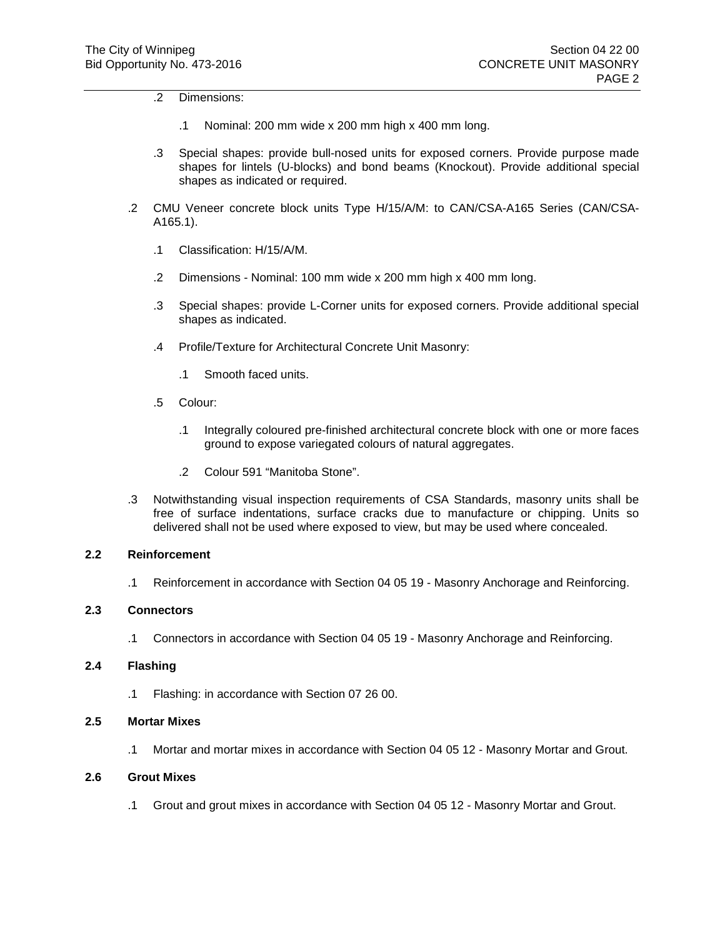.2 Dimensions:

- .1 Nominal: 200 mm wide x 200 mm high x 400 mm long.
- .3 Special shapes: provide bull-nosed units for exposed corners. Provide purpose made shapes for lintels (U-blocks) and bond beams (Knockout). Provide additional special shapes as indicated or required.
- .2 CMU Veneer concrete block units Type H/15/A/M: to CAN/CSA-A165 Series (CAN/CSA-A165.1).
	- .1 Classification: H/15/A/M.
	- .2 Dimensions Nominal: 100 mm wide x 200 mm high x 400 mm long.
	- .3 Special shapes: provide L-Corner units for exposed corners. Provide additional special shapes as indicated.
	- .4 Profile/Texture for Architectural Concrete Unit Masonry:
		- .1 Smooth faced units.
	- .5 Colour:
		- .1 Integrally coloured pre-finished architectural concrete block with one or more faces ground to expose variegated colours of natural aggregates.
		- .2 Colour 591 "Manitoba Stone".
- .3 Notwithstanding visual inspection requirements of CSA Standards, masonry units shall be free of surface indentations, surface cracks due to manufacture or chipping. Units so delivered shall not be used where exposed to view, but may be used where concealed.

## **2.2 Reinforcement**

.1 Reinforcement in accordance with Section 04 05 19 - Masonry Anchorage and Reinforcing.

## **2.3 Connectors**

.1 Connectors in accordance with Section 04 05 19 - Masonry Anchorage and Reinforcing.

## **2.4 Flashing**

.1 Flashing: in accordance with Section 07 26 00.

## **2.5 Mortar Mixes**

.1 Mortar and mortar mixes in accordance with Section 04 05 12 - Masonry Mortar and Grout.

## **2.6 Grout Mixes**

.1 Grout and grout mixes in accordance with Section 04 05 12 - Masonry Mortar and Grout.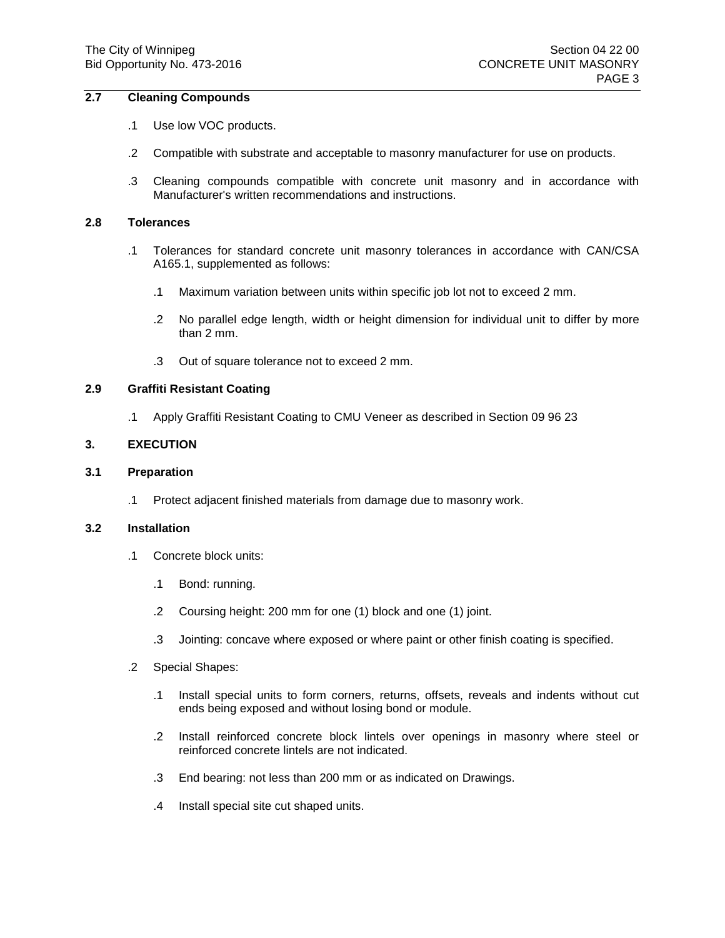## **2.7 Cleaning Compounds**

- .1 Use low VOC products.
- .2 Compatible with substrate and acceptable to masonry manufacturer for use on products.
- .3 Cleaning compounds compatible with concrete unit masonry and in accordance with Manufacturer's written recommendations and instructions.

### **2.8 Tolerances**

- .1 Tolerances for standard concrete unit masonry tolerances in accordance with CAN/CSA A165.1, supplemented as follows:
	- .1 Maximum variation between units within specific job lot not to exceed 2 mm.
	- .2 No parallel edge length, width or height dimension for individual unit to differ by more than 2 mm.
	- .3 Out of square tolerance not to exceed 2 mm.

### **2.9 Graffiti Resistant Coating**

.1 Apply Graffiti Resistant Coating to CMU Veneer as described in Section 09 96 23

### **3. EXECUTION**

#### **3.1 Preparation**

.1 Protect adjacent finished materials from damage due to masonry work.

### **3.2 Installation**

- .1 Concrete block units:
	- .1 Bond: running.
	- .2 Coursing height: 200 mm for one (1) block and one (1) joint.
	- .3 Jointing: concave where exposed or where paint or other finish coating is specified.
- .2 Special Shapes:
	- .1 Install special units to form corners, returns, offsets, reveals and indents without cut ends being exposed and without losing bond or module.
	- .2 Install reinforced concrete block lintels over openings in masonry where steel or reinforced concrete lintels are not indicated.
	- .3 End bearing: not less than 200 mm or as indicated on Drawings.
	- .4 Install special site cut shaped units.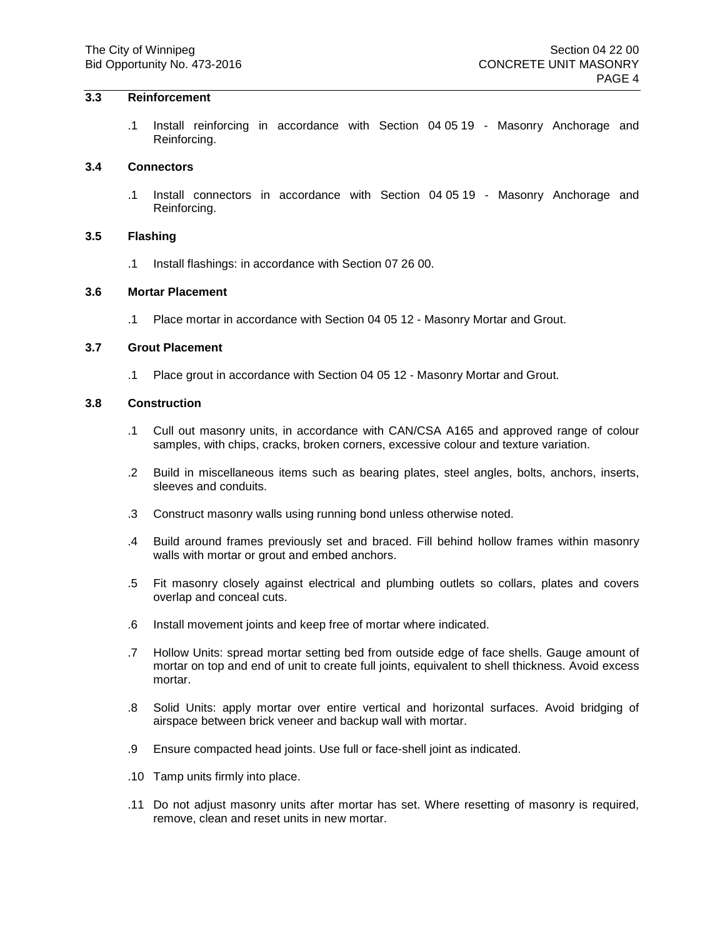## **3.3 Reinforcement**

.1 Install reinforcing in accordance with Section 04 05 19 - Masonry Anchorage and Reinforcing.

#### **3.4 Connectors**

.1 Install connectors in accordance with Section 04 05 19 - Masonry Anchorage and Reinforcing.

## **3.5 Flashing**

.1 Install flashings: in accordance with Section 07 26 00.

#### **3.6 Mortar Placement**

.1 Place mortar in accordance with Section 04 05 12 - Masonry Mortar and Grout.

#### **3.7 Grout Placement**

.1 Place grout in accordance with Section 04 05 12 - Masonry Mortar and Grout.

#### **3.8 Construction**

- .1 Cull out masonry units, in accordance with CAN/CSA A165 and approved range of colour samples, with chips, cracks, broken corners, excessive colour and texture variation.
- .2 Build in miscellaneous items such as bearing plates, steel angles, bolts, anchors, inserts, sleeves and conduits.
- .3 Construct masonry walls using running bond unless otherwise noted.
- .4 Build around frames previously set and braced. Fill behind hollow frames within masonry walls with mortar or grout and embed anchors.
- .5 Fit masonry closely against electrical and plumbing outlets so collars, plates and covers overlap and conceal cuts.
- .6 Install movement joints and keep free of mortar where indicated.
- .7 Hollow Units: spread mortar setting bed from outside edge of face shells. Gauge amount of mortar on top and end of unit to create full joints, equivalent to shell thickness. Avoid excess mortar.
- .8 Solid Units: apply mortar over entire vertical and horizontal surfaces. Avoid bridging of airspace between brick veneer and backup wall with mortar.
- .9 Ensure compacted head joints. Use full or face-shell joint as indicated.
- .10 Tamp units firmly into place.
- .11 Do not adjust masonry units after mortar has set. Where resetting of masonry is required, remove, clean and reset units in new mortar.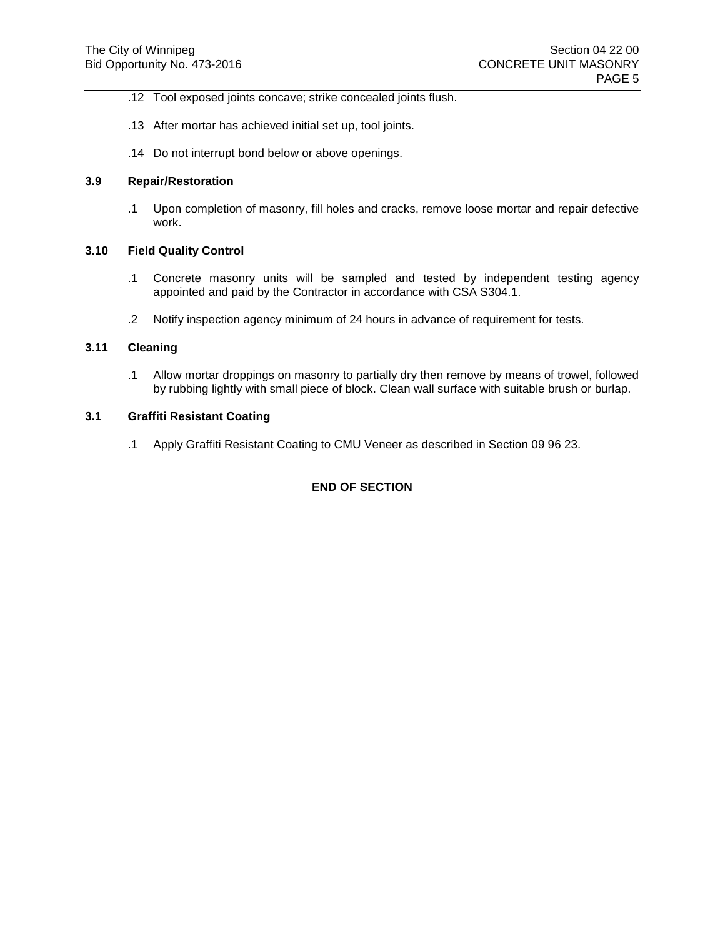- .12 Tool exposed joints concave; strike concealed joints flush.
- .13 After mortar has achieved initial set up, tool joints.
- .14 Do not interrupt bond below or above openings.

## **3.9 Repair/Restoration**

.1 Upon completion of masonry, fill holes and cracks, remove loose mortar and repair defective work.

## **3.10 Field Quality Control**

- .1 Concrete masonry units will be sampled and tested by independent testing agency appointed and paid by the Contractor in accordance with CSA S304.1.
- .2 Notify inspection agency minimum of 24 hours in advance of requirement for tests.

## **3.11 Cleaning**

.1 Allow mortar droppings on masonry to partially dry then remove by means of trowel, followed by rubbing lightly with small piece of block. Clean wall surface with suitable brush or burlap.

## **3.1 Graffiti Resistant Coating**

.1 Apply Graffiti Resistant Coating to CMU Veneer as described in Section 09 96 23.

## **END OF SECTION**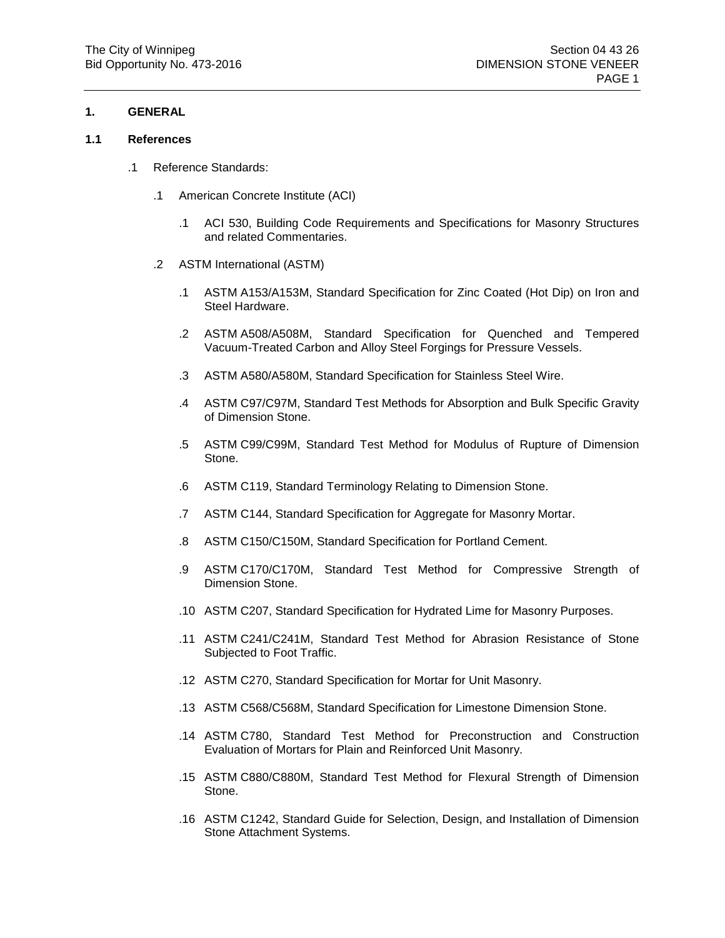## **1. GENERAL**

#### **1.1 References**

- .1 Reference Standards:
	- .1 American Concrete Institute (ACI)
		- .1 ACI 530, Building Code Requirements and Specifications for Masonry Structures and related Commentaries.
	- .2 ASTM International (ASTM)
		- .1 ASTM A153/A153M, Standard Specification for Zinc Coated (Hot Dip) on Iron and Steel Hardware.
		- .2 ASTM A508/A508M, Standard Specification for Quenched and Tempered Vacuum-Treated Carbon and Alloy Steel Forgings for Pressure Vessels.
		- .3 ASTM A580/A580M, Standard Specification for Stainless Steel Wire.
		- .4 ASTM C97/C97M, Standard Test Methods for Absorption and Bulk Specific Gravity of Dimension Stone.
		- .5 ASTM C99/C99M, Standard Test Method for Modulus of Rupture of Dimension Stone.
		- .6 ASTM C119, Standard Terminology Relating to Dimension Stone.
		- .7 ASTM C144, Standard Specification for Aggregate for Masonry Mortar.
		- .8 ASTM C150/C150M, Standard Specification for Portland Cement.
		- .9 ASTM C170/C170M, Standard Test Method for Compressive Strength of Dimension Stone.
		- .10 ASTM C207, Standard Specification for Hydrated Lime for Masonry Purposes.
		- .11 ASTM C241/C241M, Standard Test Method for Abrasion Resistance of Stone Subjected to Foot Traffic.
		- .12 ASTM C270, Standard Specification for Mortar for Unit Masonry.
		- .13 ASTM C568/C568M, Standard Specification for Limestone Dimension Stone.
		- .14 ASTM C780, Standard Test Method for Preconstruction and Construction Evaluation of Mortars for Plain and Reinforced Unit Masonry.
		- .15 ASTM C880/C880M, Standard Test Method for Flexural Strength of Dimension Stone.
		- .16 ASTM C1242, Standard Guide for Selection, Design, and Installation of Dimension Stone Attachment Systems.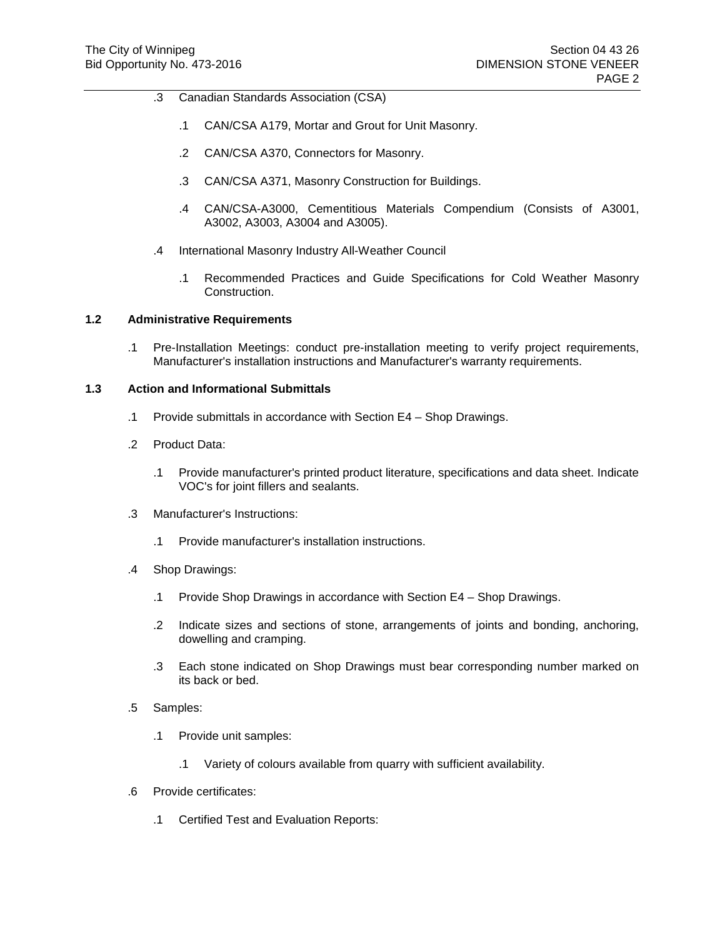- .3 Canadian Standards Association (CSA)
	- .1 CAN/CSA A179, Mortar and Grout for Unit Masonry.
	- .2 CAN/CSA A370, Connectors for Masonry.
	- .3 CAN/CSA A371, Masonry Construction for Buildings.
	- .4 CAN/CSA-A3000, Cementitious Materials Compendium (Consists of A3001, A3002, A3003, A3004 and A3005).
- .4 International Masonry Industry All-Weather Council
	- .1 Recommended Practices and Guide Specifications for Cold Weather Masonry Construction.

## **1.2 Administrative Requirements**

.1 Pre-Installation Meetings: conduct pre-installation meeting to verify project requirements, Manufacturer's installation instructions and Manufacturer's warranty requirements.

### **1.3 Action and Informational Submittals**

- .1 Provide submittals in accordance with Section E4 Shop Drawings.
- .2 Product Data:
	- .1 Provide manufacturer's printed product literature, specifications and data sheet. Indicate VOC's for joint fillers and sealants.
- .3 Manufacturer's Instructions:
	- .1 Provide manufacturer's installation instructions.
- .4 Shop Drawings:
	- .1 Provide Shop Drawings in accordance with Section E4 Shop Drawings.
	- .2 Indicate sizes and sections of stone, arrangements of joints and bonding, anchoring, dowelling and cramping.
	- .3 Each stone indicated on Shop Drawings must bear corresponding number marked on its back or bed.
- .5 Samples:
	- .1 Provide unit samples:
		- .1 Variety of colours available from quarry with sufficient availability.
- .6 Provide certificates:
	- .1 Certified Test and Evaluation Reports: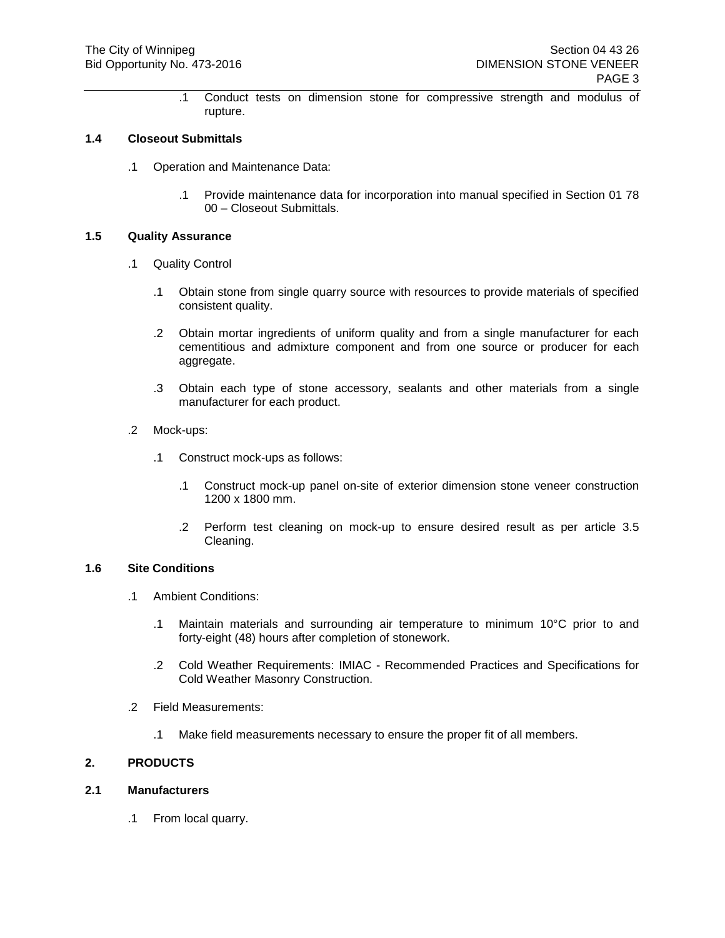.1 Conduct tests on dimension stone for compressive strength and modulus of rupture.

### **1.4 Closeout Submittals**

- .1 Operation and Maintenance Data:
	- .1 Provide maintenance data for incorporation into manual specified in Section 01 78 00 – Closeout Submittals.

### **1.5 Quality Assurance**

- .1 Quality Control
	- .1 Obtain stone from single quarry source with resources to provide materials of specified consistent quality.
	- .2 Obtain mortar ingredients of uniform quality and from a single manufacturer for each cementitious and admixture component and from one source or producer for each aggregate.
	- .3 Obtain each type of stone accessory, sealants and other materials from a single manufacturer for each product.
- .2 Mock-ups:
	- .1 Construct mock-ups as follows:
		- .1 Construct mock-up panel on-site of exterior dimension stone veneer construction 1200 x 1800 mm.
		- .2 Perform test cleaning on mock-up to ensure desired result as per article 3.5 Cleaning.

## **1.6 Site Conditions**

- .1 Ambient Conditions:
	- .1 Maintain materials and surrounding air temperature to minimum 10°C prior to and forty-eight (48) hours after completion of stonework.
	- .2 Cold Weather Requirements: IMIAC Recommended Practices and Specifications for Cold Weather Masonry Construction.
- .2 Field Measurements:
	- .1 Make field measurements necessary to ensure the proper fit of all members.

## **2. PRODUCTS**

## **2.1 Manufacturers**

.1 From local quarry.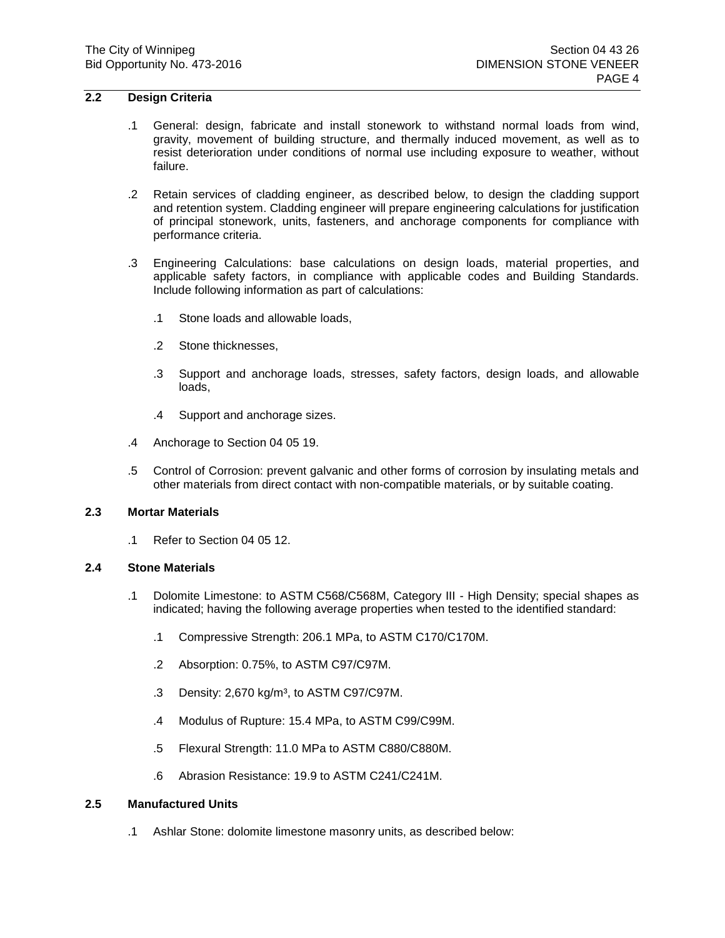## **2.2 Design Criteria**

- .1 General: design, fabricate and install stonework to withstand normal loads from wind, gravity, movement of building structure, and thermally induced movement, as well as to resist deterioration under conditions of normal use including exposure to weather, without failure.
- .2 Retain services of cladding engineer, as described below, to design the cladding support and retention system. Cladding engineer will prepare engineering calculations for justification of principal stonework, units, fasteners, and anchorage components for compliance with performance criteria.
- .3 Engineering Calculations: base calculations on design loads, material properties, and applicable safety factors, in compliance with applicable codes and Building Standards. Include following information as part of calculations:
	- .1 Stone loads and allowable loads,
	- .2 Stone thicknesses,
	- .3 Support and anchorage loads, stresses, safety factors, design loads, and allowable loads,
	- .4 Support and anchorage sizes.
- .4 Anchorage to Section 04 05 19.
- .5 Control of Corrosion: prevent galvanic and other forms of corrosion by insulating metals and other materials from direct contact with non-compatible materials, or by suitable coating.

# **2.3 Mortar Materials**

.1 Refer to Section 04 05 12.

### **2.4 Stone Materials**

- .1 Dolomite Limestone: to ASTM C568/C568M, Category III High Density; special shapes as indicated; having the following average properties when tested to the identified standard:
	- .1 Compressive Strength: 206.1 MPa, to ASTM C170/C170M.
	- .2 Absorption: 0.75%, to ASTM C97/C97M.
	- .3 Density: 2,670 kg/m<sup>3</sup>, to ASTM C97/C97M.
	- .4 Modulus of Rupture: 15.4 MPa, to ASTM C99/C99M.
	- .5 Flexural Strength: 11.0 MPa to ASTM C880/C880M.
	- .6 Abrasion Resistance: 19.9 to ASTM C241/C241M.

### **2.5 Manufactured Units**

.1 Ashlar Stone: dolomite limestone masonry units, as described below: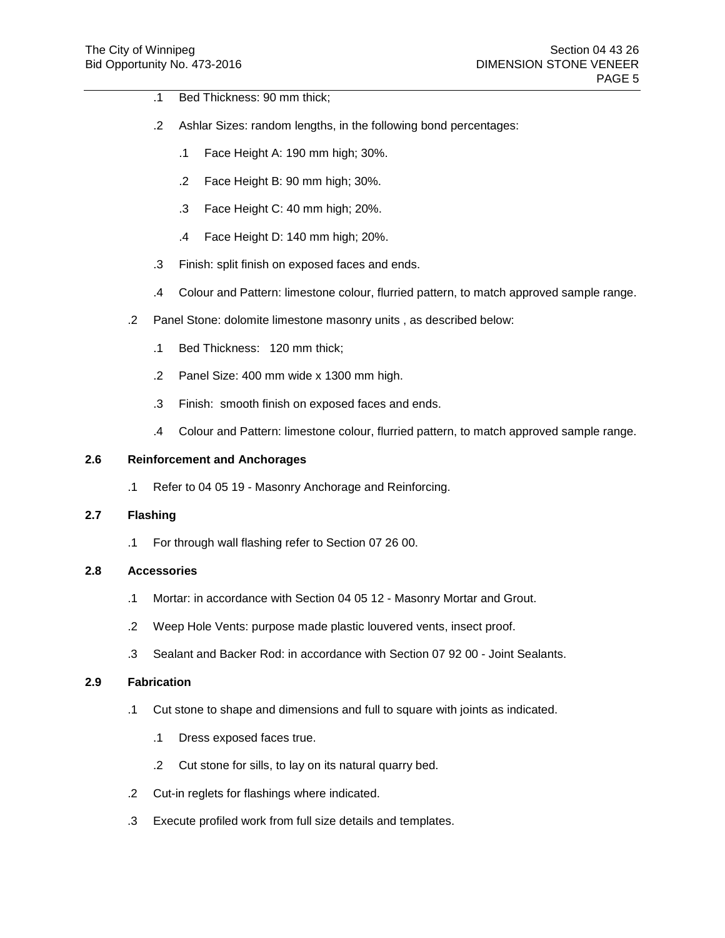- .1 Bed Thickness: 90 mm thick;
- .2 Ashlar Sizes: random lengths, in the following bond percentages:
	- .1 Face Height A: 190 mm high; 30%.
	- .2 Face Height B: 90 mm high; 30%.
	- .3 Face Height C: 40 mm high; 20%.
	- .4 Face Height D: 140 mm high; 20%.
- .3 Finish: split finish on exposed faces and ends.
- .4 Colour and Pattern: limestone colour, flurried pattern, to match approved sample range.
- .2 Panel Stone: dolomite limestone masonry units , as described below:
	- .1 Bed Thickness: 120 mm thick;
	- .2 Panel Size: 400 mm wide x 1300 mm high.
	- .3 Finish: smooth finish on exposed faces and ends.
	- .4 Colour and Pattern: limestone colour, flurried pattern, to match approved sample range.

## **2.6 Reinforcement and Anchorages**

.1 Refer to 04 05 19 - Masonry Anchorage and Reinforcing.

## **2.7 Flashing**

.1 For through wall flashing refer to Section 07 26 00.

## **2.8 Accessories**

- .1 Mortar: in accordance with Section 04 05 12 Masonry Mortar and Grout.
- .2 Weep Hole Vents: purpose made plastic louvered vents, insect proof.
- .3 Sealant and Backer Rod: in accordance with Section 07 92 00 Joint Sealants.

### **2.9 Fabrication**

- .1 Cut stone to shape and dimensions and full to square with joints as indicated.
	- .1 Dress exposed faces true.
	- .2 Cut stone for sills, to lay on its natural quarry bed.
- .2 Cut-in reglets for flashings where indicated.
- .3 Execute profiled work from full size details and templates.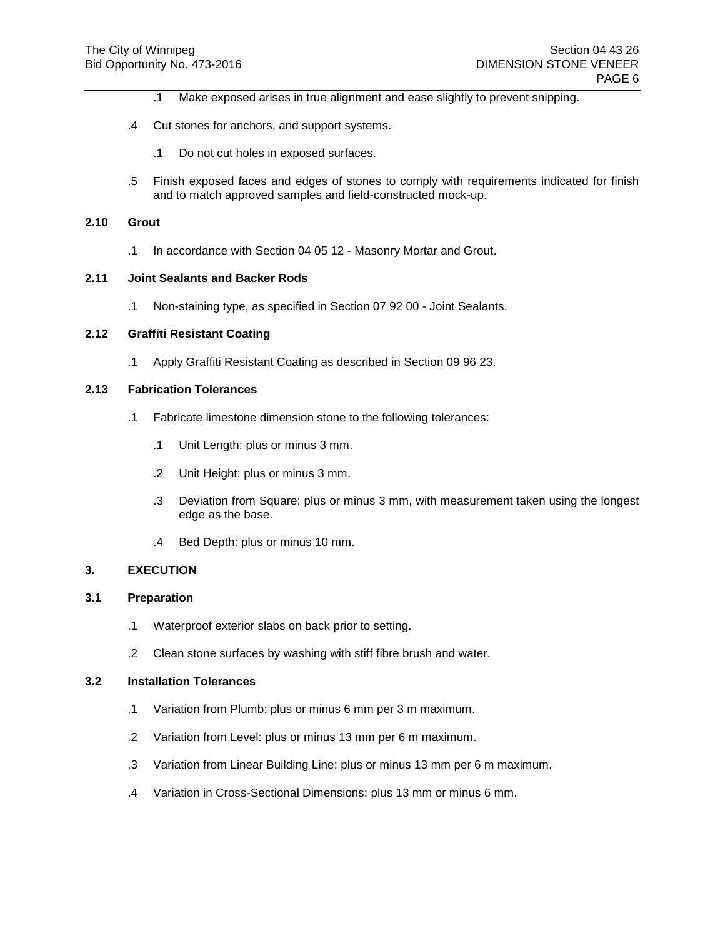- .1 Make exposed arises in true alignment and ease slightly to prevent snipping.
- .4 Cut stones for anchors, and support systems.
	- .1 Do not cut holes in exposed surfaces.
- .5 Finish exposed faces and edges of stones to comply with requirements indicated for finish and to match approved samples and field-constructed mock-up.

#### **2.10 Grout**

.1 In accordance with Section 04 05 12 - Masonry Mortar and Grout.

#### **2.11 Joint Sealants and Backer Rods**

.1 Non-staining type, as specified in Section 07 92 00 - Joint Sealants.

## **2.12 Graffiti Resistant Coating**

.1 Apply Graffiti Resistant Coating as described in Section 09 96 23.

### **2.13 Fabrication Tolerances**

- .1 Fabricate limestone dimension stone to the following tolerances:
	- .1 Unit Length: plus or minus 3 mm.
	- .2 Unit Height: plus or minus 3 mm.
	- .3 Deviation from Square: plus or minus 3 mm, with measurement taken using the longest edge as the base.
	- .4 Bed Depth: plus or minus 10 mm.

## **3. EXECUTION**

### **3.1 Preparation**

- .1 Waterproof exterior slabs on back prior to setting.
- .2 Clean stone surfaces by washing with stiff fibre brush and water.

#### **3.2 Installation Tolerances**

- .1 Variation from Plumb: plus or minus 6 mm per 3 m maximum.
- .2 Variation from Level: plus or minus 13 mm per 6 m maximum.
- .3 Variation from Linear Building Line: plus or minus 13 mm per 6 m maximum.
- .4 Variation in Cross-Sectional Dimensions: plus 13 mm or minus 6 mm.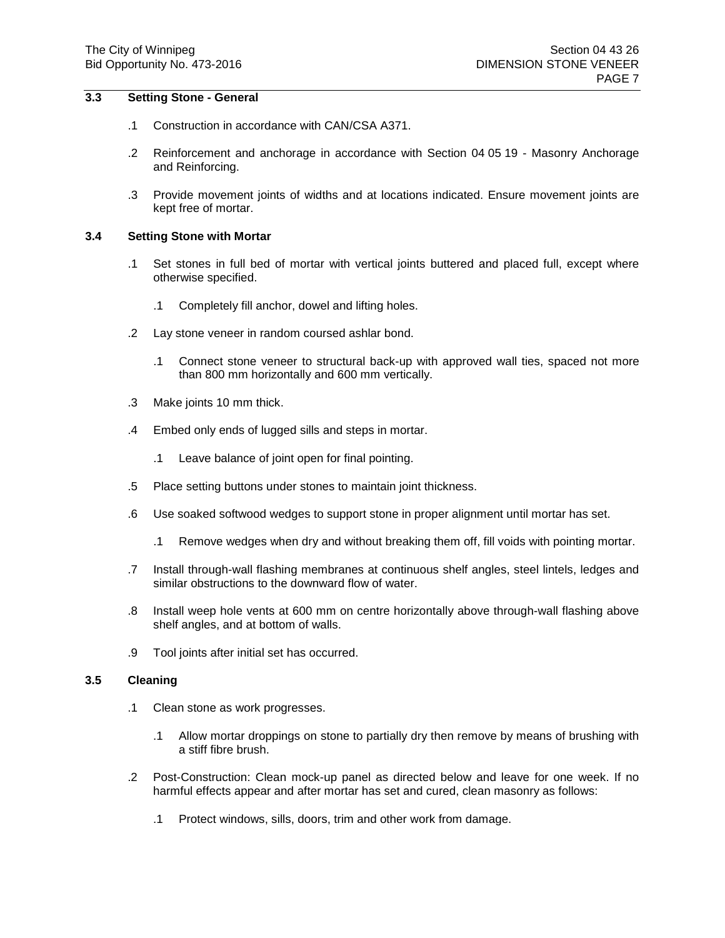## **3.3 Setting Stone - General**

- .1 Construction in accordance with CAN/CSA A371.
- .2 Reinforcement and anchorage in accordance with Section 04 05 19 Masonry Anchorage and Reinforcing.
- .3 Provide movement joints of widths and at locations indicated. Ensure movement joints are kept free of mortar.

## **3.4 Setting Stone with Mortar**

- .1 Set stones in full bed of mortar with vertical joints buttered and placed full, except where otherwise specified.
	- .1 Completely fill anchor, dowel and lifting holes.
- .2 Lay stone veneer in random coursed ashlar bond.
	- .1 Connect stone veneer to structural back-up with approved wall ties, spaced not more than 800 mm horizontally and 600 mm vertically.
- .3 Make joints 10 mm thick.
- .4 Embed only ends of lugged sills and steps in mortar.
	- .1 Leave balance of joint open for final pointing.
- .5 Place setting buttons under stones to maintain joint thickness.
- .6 Use soaked softwood wedges to support stone in proper alignment until mortar has set.
	- .1 Remove wedges when dry and without breaking them off, fill voids with pointing mortar.
- .7 Install through-wall flashing membranes at continuous shelf angles, steel lintels, ledges and similar obstructions to the downward flow of water.
- .8 Install weep hole vents at 600 mm on centre horizontally above through-wall flashing above shelf angles, and at bottom of walls.
- .9 Tool joints after initial set has occurred.

## **3.5 Cleaning**

- .1 Clean stone as work progresses.
	- .1 Allow mortar droppings on stone to partially dry then remove by means of brushing with a stiff fibre brush.
- .2 Post-Construction: Clean mock-up panel as directed below and leave for one week. If no harmful effects appear and after mortar has set and cured, clean masonry as follows:
	- .1 Protect windows, sills, doors, trim and other work from damage.